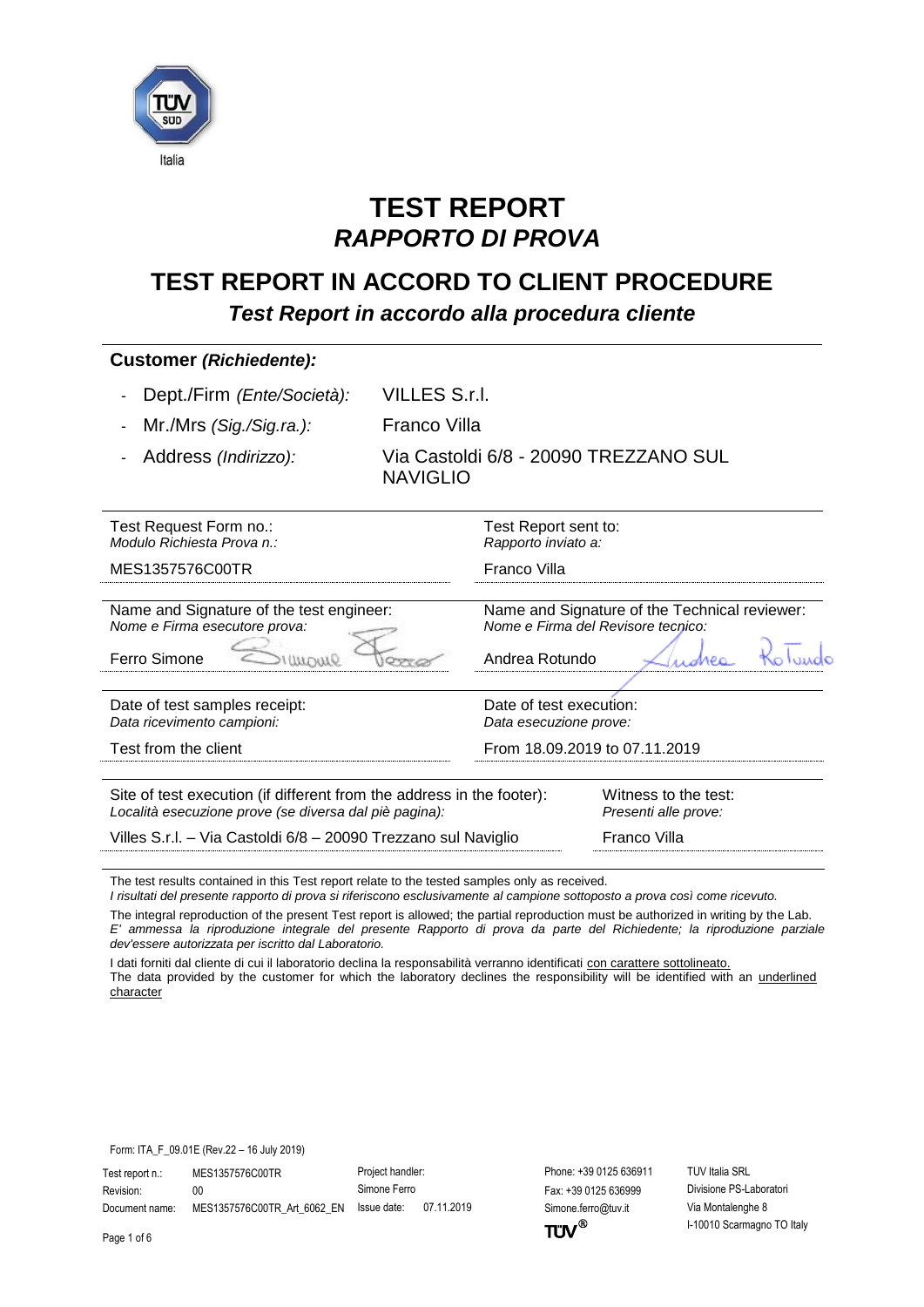

# **TEST REPORT** *RAPPORTO DI PROVA*

## **TEST REPORT IN ACCORD TO CLIENT PROCEDURE** *Test Report in accordo alla procedura cliente*

| <b>Customer (Richiedente):</b>                                                                                                  |                                                          |                                                                                                       |  |  |
|---------------------------------------------------------------------------------------------------------------------------------|----------------------------------------------------------|-------------------------------------------------------------------------------------------------------|--|--|
| Dept./Firm (Ente/Società):                                                                                                      | <b>VILLES S.r.I.</b>                                     |                                                                                                       |  |  |
| Mr./Mrs (Sig./Sig.ra.):                                                                                                         | Franco Villa                                             |                                                                                                       |  |  |
| Address (Indirizzo):                                                                                                            | Via Castoldi 6/8 - 20090 TREZZANO SUL<br><b>NAVIGLIO</b> |                                                                                                       |  |  |
| Test Request Form no.:<br>Modulo Richiesta Prova n.:                                                                            | Test Report sent to:<br>Rapporto inviato a:              |                                                                                                       |  |  |
| MES1357576C00TR                                                                                                                 | Franco Villa                                             |                                                                                                       |  |  |
| Name and Signature of the test engineer:<br>Nome e Firma esecutore prova:<br>Ferro Simone<br><b>UMOULO</b>                      |                                                          | Name and Signature of the Technical reviewer:<br>Nome e Firma del Revisore tecnico:<br>Andrea Rotundo |  |  |
| Date of test samples receipt:<br>Data ricevimento campioni:                                                                     |                                                          | Date of test execution:<br>Data esecuzione prove:                                                     |  |  |
| Test from the client                                                                                                            |                                                          | From 18.09.2019 to 07.11.2019                                                                         |  |  |
| Site of test execution (if different from the address in the footer):<br>Località esecuzione prove (se diversa dal piè pagina): |                                                          | Witness to the test:<br>Presenti alle prove:                                                          |  |  |
| Villes S.r.l. - Via Castoldi 6/8 - 20090 Trezzano sul Naviglio                                                                  |                                                          | Franco Villa                                                                                          |  |  |
| The test results contained in this Test report relate to the tested samples only as received.                                   |                                                          |                                                                                                       |  |  |

*I risultati del presente rapporto di prova si riferiscono esclusivamente al campione sottoposto a prova così come ricevuto.*

The integral reproduction of the present Test report is allowed; the partial reproduction must be authorized in writing by the Lab. *E' ammessa la riproduzione integrale del presente Rapporto di prova da parte del Richiedente; la riproduzione parziale dev'essere autorizzata per iscritto dal Laboratorio.*

I dati forniti dal cliente di cui il laboratorio declina la responsabilità verranno identificati con carattere sottolineato. The data provided by the customer for which the laboratory declines the responsibility will be identified with an underlined character

Form: ITA\_F\_09.01E (Rev.22 – 16 July 2019)

Test report n.: MES1357576C00TR Project handler: Phone: +39 0125 636911 TÜV Italia SRL Revision: 00 00 Simone Ferro Fax: +39 0125 636999 Divisione PS-Laboratori Document name: MES1357576C00TR\_Art\_6062\_EN Issue date: 07.11.2019 Simone.ferro@tuv.it Via Montalenghe 8

 $TUV^{\circledast}$ 

I-10010 Scarmagno TO Italy

Page 1 of 6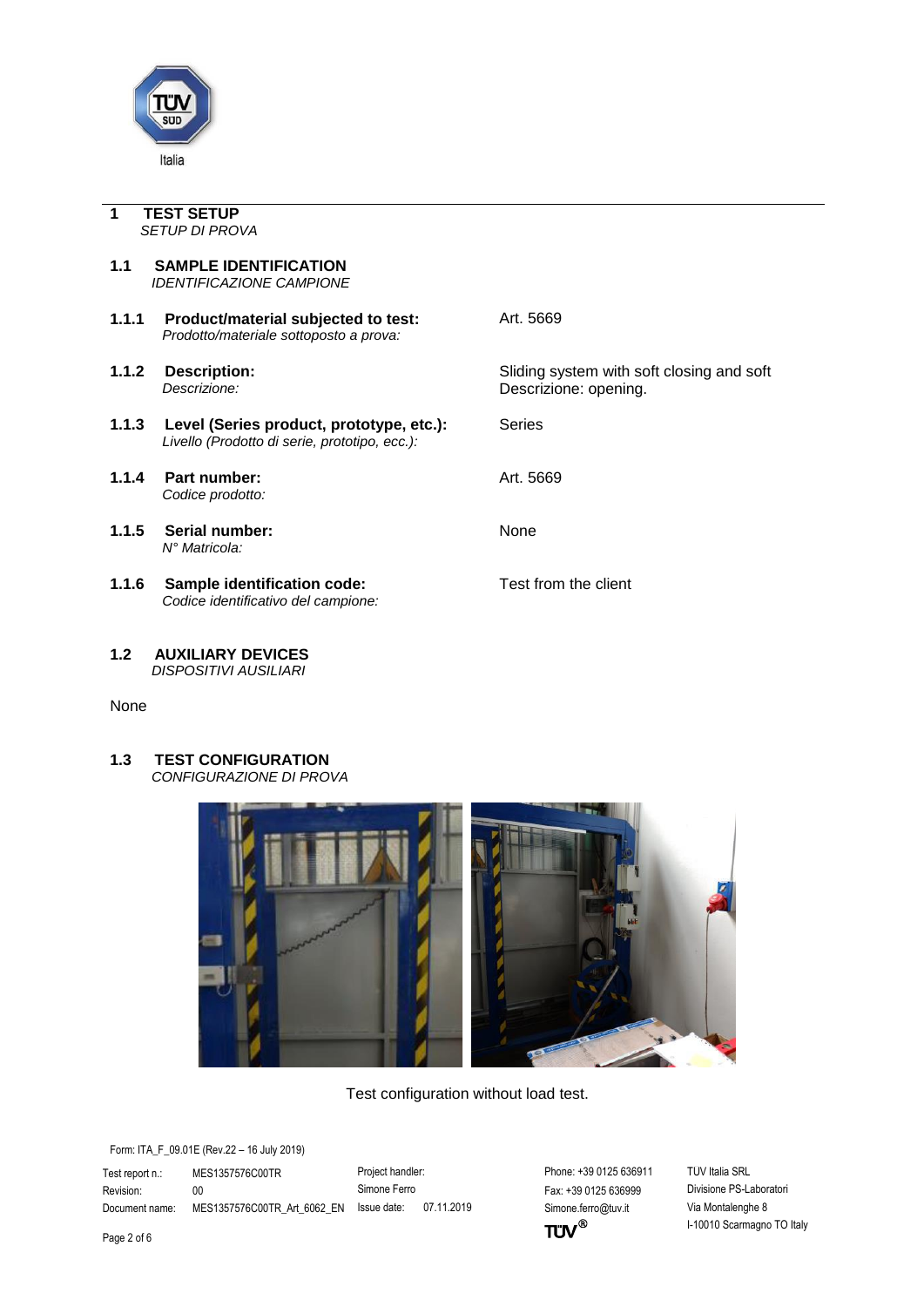

<span id="page-1-0"></span>**1 TEST SETUP** *SETUP DI PROVA*

- <span id="page-1-1"></span>**1.1 SAMPLE IDENTIFICATION** *IDENTIFICAZIONE CAMPIONE*
- **1.1.1 Product/material subjected to test:** Art. 5669 *Prodotto/materiale sottoposto a prova:*
- 
- 1.1.3 Level (Series product, prototype, etc.): Series *Livello (Prodotto di serie, prototipo, ecc.):*
- **1.1.4 Part number:** Art. 5669 *Codice prodotto:*
- **1.1.5 Serial number:** None *N° Matricola:*
- **1.1.6** Sample identification code: Test from the client *Codice identificativo del campione:*

**1.1.2 Description:** Sliding system with soft closing and soft closing and soft closing and soft perception of the Description of the Description of the Description of the Description of the Description of the Description *Descrizione:* Descrizione: opening.

<span id="page-1-2"></span>**1.2 AUXILIARY DEVICES** *DISPOSITIVI AUSILIARI*

None

<span id="page-1-3"></span>**1.3 TEST CONFIGURATION** *CONFIGURAZIONE DI PROVA*



Test configuration without load test.

Form: ITA\_F\_09.01E (Rev.22 – 16 July 2019)

Test report n.: MES1357576C00TR Project handler: Phone: +39 0125 636911 TÜV Italia SRL

Revision: 00 00 Simone Ferro Fax: +39 0125 636999 Divisione PS-Laboratori Document name: MES1357576C00TR\_Art\_6062\_EN Issue date: 07.11.2019 Simone.ferro@tuv.it Via Montalenghe 8  $TUV^{\circledast}$ 

I-10010 Scarmagno TO Italy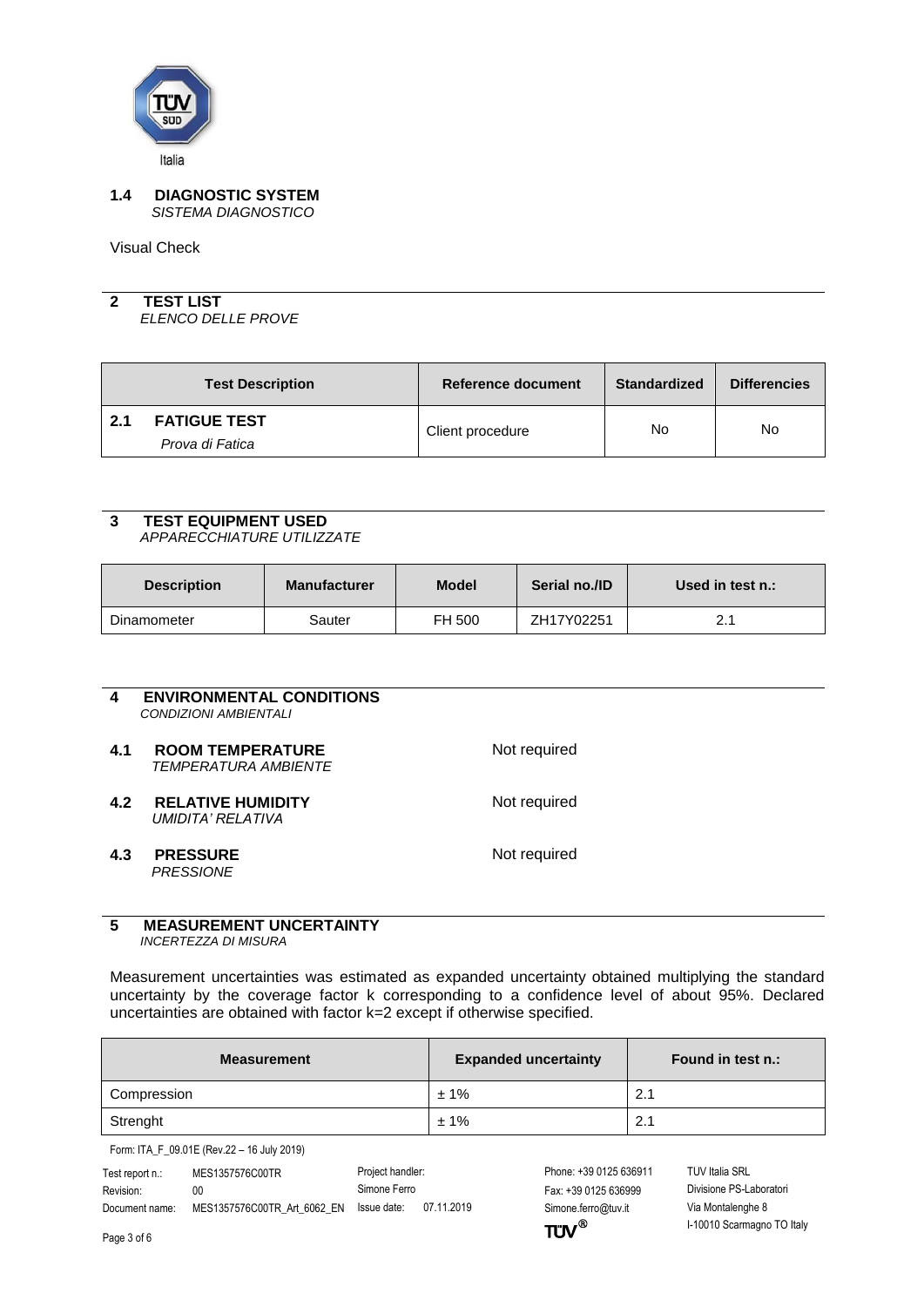

#### <span id="page-2-0"></span>**1.4 DIAGNOSTIC SYSTEM** *SISTEMA DIAGNOSTICO*

Visual Check

# <span id="page-2-1"></span>**2 TEST LIST**

*ELENCO DELLE PROVE*

<span id="page-2-2"></span>

|     | <b>Test Description</b>                | Reference document | <b>Standardized</b> | <b>Differencies</b> |
|-----|----------------------------------------|--------------------|---------------------|---------------------|
| 2.1 | <b>FATIGUE TEST</b><br>Prova di Fatica | Client procedure   | No                  | No                  |

## <span id="page-2-3"></span>**3 TEST EQUIPMENT USED**

*APPARECCHIATURE UTILIZZATE*

| <b>Description</b> | <b>Manufacturer</b> | <b>Model</b> | Serial no./ID | Used in test n.: |
|--------------------|---------------------|--------------|---------------|------------------|
| Dinamometer        | Sauter              | FH 500       | ZH17Y02251    | 21<br>$\sim$     |

<span id="page-2-6"></span><span id="page-2-5"></span><span id="page-2-4"></span>

| 4   | <b>ENVIRONMENTAL CONDITIONS</b><br>CONDIZIONI AMBIENTALI |              |
|-----|----------------------------------------------------------|--------------|
| 4.1 | <b>ROOM TEMPERATURE</b><br><b>TEMPERATURA AMBIENTE</b>   | Not required |
| 4.2 | <b>RELATIVE HUMIDITY</b><br>UMIDITA' RELATIVA            | Not required |
| 4.3 | <b>PRESSURE</b><br><b>PRESSIONE</b>                      | Not required |

#### <span id="page-2-8"></span><span id="page-2-7"></span>**5 MEASUREMENT UNCERTAINTY** *INCERTEZZA DI MISURA*

Measurement uncertainties was estimated as expanded uncertainty obtained multiplying the standard uncertainty by the coverage factor k corresponding to a confidence level of about 95%. Declared uncertainties are obtained with factor k=2 except if otherwise specified.

| <b>Measurement</b> | <b>Expanded uncertainty</b> | Found in test n.: |
|--------------------|-----------------------------|-------------------|
| Compression        | ±1%                         | 2.1               |
| Strenght           | ±1%                         | 2.1               |

Form: ITA\_F\_09.01E (Rev.22 – 16 July 2019)

| Test report n.: | MES1357576C00TR             | Project handler: |            |
|-----------------|-----------------------------|------------------|------------|
| Revision:       | 00                          | Simone Ferro     |            |
| Document name:  | MES1357576C00TR Art 6062 EN | Issue date:      | 07.11.2019 |

Simone.ferro@tuv.it Via Montalenghe 8  $TUV$ <sup>®</sup>

Phone: +39 0125 636911 TÜV Italia SRL Fax: +39 0125 636999 Divisione PS-Laboratori I-10010 Scarmagno TO Italy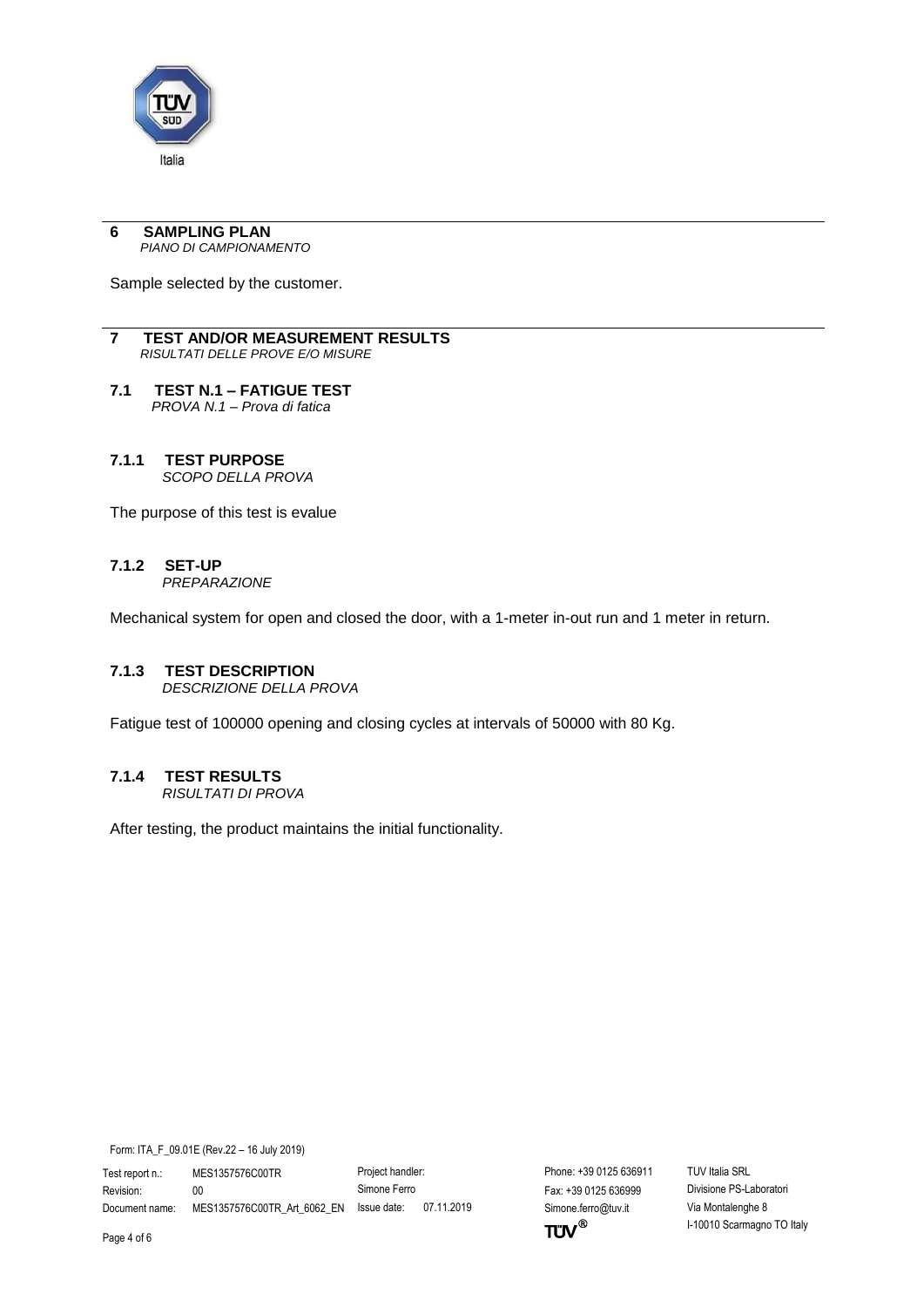

#### <span id="page-3-0"></span>**6 SAMPLING PLAN** *PIANO DI CAMPIONAMENTO*

Sample selected by the customer.

#### <span id="page-3-1"></span>**7 TEST AND/OR MEASUREMENT RESULTS** *RISULTATI DELLE PROVE E/O MISURE*

- <span id="page-3-2"></span>**7.1 TEST N.1 – FATIGUE TEST** *PROVA N.1 – Prova di fatica*
- <span id="page-3-3"></span>**7.1.1 TEST PURPOSE** *SCOPO DELLA PROVA*

The purpose of this test is evalue

## <span id="page-3-4"></span>**7.1.2 SET-UP**

*PREPARAZIONE* 

Mechanical system for open and closed the door, with a 1-meter in-out run and 1 meter in return.

### <span id="page-3-5"></span>**7.1.3 TEST DESCRIPTION**

*DESCRIZIONE DELLA PROVA* 

Fatigue test of 100000 opening and closing cycles at intervals of 50000 with 80 Kg.

### <span id="page-3-6"></span>**7.1.4 TEST RESULTS**

*RISULTATI DI PROVA* 

After testing, the product maintains the initial functionality.

Form: ITA\_F\_09.01E (Rev.22 – 16 July 2019)

Test report n.: MES1357576C00TR Project handler: Phone: +39 0125 636911 TÜV Italia SRL Revision: 00 00 Simone Ferro Fax: +39 0125 636999 Divisione PS-Laboratori Document name: MES1357576C00TR\_Art\_6062\_EN Issue date: 07.11.2019 Simone.ferro@tuv.it Via Montalenghe 8

 $TUV^{\circledast}$ 

I-10010 Scarmagno TO Italy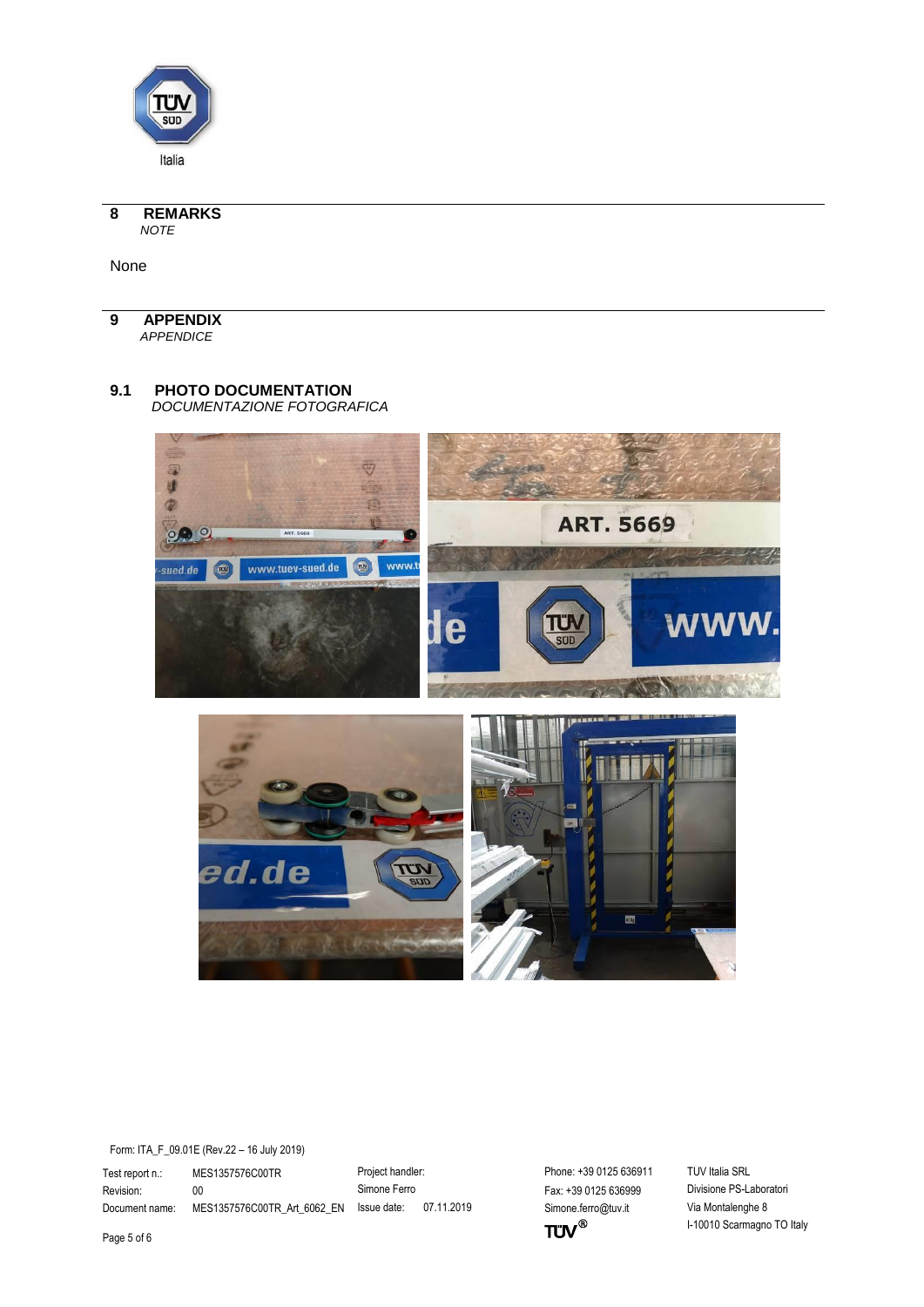

<span id="page-4-0"></span>**8 REMARKS** *NOTE*

None

<span id="page-4-1"></span>**9 APPENDIX** *APPENDICE*

## <span id="page-4-2"></span>**9.1 PHOTO DOCUMENTATION**

*DOCUMENTAZIONE FOTOGRAFICA*



Form: ITA\_F\_09.01E (Rev.22 – 16 July 2019)

Test report n.: MES1357576C00TR Project handler: Protect net Phone: +39 0125 636911 TÜV Italia SRL Revision: 00 00 Simone Ferro Fax: +39 0125 636999 Divisione PS-Laboratori

 $\mathbf{I}$ 

Document name: MES1357576C00TR\_Art\_6062\_EN Issue date: 07.11.2019 Simone.ferro@tuv.it Via Montalenghe 8<br>Page 5 of 6 l-10010 Scarmagno

I-10010 Scarmagno TO Italy

Page 5 of 6